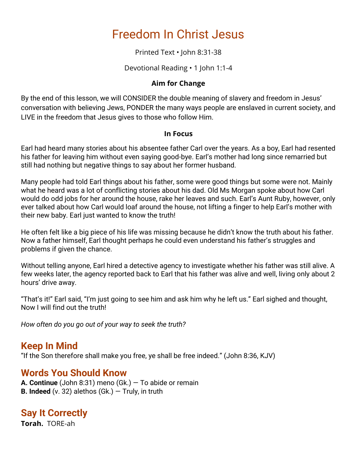# Freedom In Christ Jesus

Printed Text • John 8:31-38

Devotional Reading • 1 John 1:1-4

#### **Aim for Change**

By the end of this lesson, we will CONSIDER the double meaning of slavery and freedom in Jesus' conversation with believing Jews, PONDER the many ways people are enslaved in current society, and LIVE in the freedom that Jesus gives to those who follow Him.

#### **In Focus**

Earl had heard many stories about his absentee father Carl over the years. As a boy, Earl had resented his father for leaving him without even saying good-bye. Earl's mother had long since remarried but still had nothing but negative things to say about her former husband.

Many people had told Earl things about his father, some were good things but some were not. Mainly what he heard was a lot of conflicting stories about his dad. Old Ms Morgan spoke about how Carl would do odd jobs for her around the house, rake her leaves and such. Earl's Aunt Ruby, however, only ever talked about how Carl would loaf around the house, not lifting a finger to help Earl's mother with their new baby. Earl just wanted to know the truth!

He often felt like a big piece of his life was missing because he didn't know the truth about his father. Now a father himself, Earl thought perhaps he could even understand his father's struggles and problems if given the chance.

Without telling anyone, Earl hired a detective agency to investigate whether his father was still alive. A few weeks later, the agency reported back to Earl that his father was alive and well, living only about 2 hours' drive away.

"That's it!" Earl said, "I'm just going to see him and ask him why he left us." Earl sighed and thought, Now I will find out the truth!

*How often do you go out of your way to seek the truth?*

### **Keep In Mind**

"If the Son therefore shall make you free, ye shall be free indeed." (John 8:36, KJV)

### **Words You Should Know**

**A. Continue** (John 8:31) meno (Gk.) — To abide or remain **B. Indeed** (v. 32) alethos  $(Gk)$  – Truly, in truth

### **Say It Correctly**

**Torah.** TORE-ah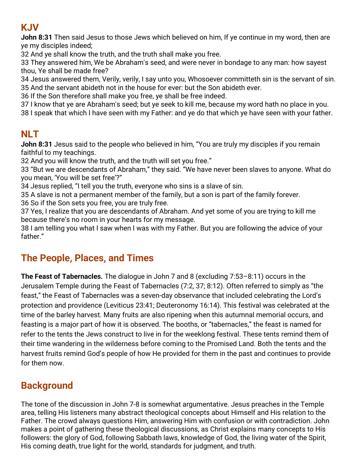# **KJV**

**John 8:31** Then said Jesus to those Jews which believed on him, If ye continue in my word, then are ye my disciples indeed;

32 And ye shall know the truth, and the truth shall make you free.

33 They answered him, We be Abraham's seed, and were never in bondage to any man: how sayest thou, Ye shall be made free?

34 Jesus answered them, Verily, verily, I say unto you, Whosoever committeth sin is the servant of sin. 35 And the servant abideth not in the house for ever: but the Son abideth ever.

36 If the Son therefore shall make you free, ye shall be free indeed.

37 I know that ye are Abraham's seed; but ye seek to kill me, because my word hath no place in you.

38 I speak that which I have seen with my Father: and ye do that which ye have seen with your father.

### **NLT**

**John 8:31** Jesus said to the people who believed in him, "You are truly my disciples if you remain faithful to my teachings.

32 And you will know the truth, and the truth will set you free."

33 "But we are descendants of Abraham," they said. "We have never been slaves to anyone. What do you mean, 'You will be set free'?"

34 Jesus replied, "I tell you the truth, everyone who sins is a slave of sin.

35 A slave is not a permanent member of the family, but a son is part of the family forever.

36 So if the Son sets you free, you are truly free.

37 Yes, I realize that you are descendants of Abraham. And yet some of you are trying to kill me because there's no room in your hearts for my message.

38 I am telling you what I saw when I was with my Father. But you are following the advice of your father."

# **The People, Places, and Times**

**The Feast of Tabernacles.** The dialogue in John 7 and 8 (excluding 7:53–8:11) occurs in the Jerusalem Temple during the Feast of Tabernacles (7:2, 37; 8:12). Often referred to simply as "the feast," the Feast of Tabernacles was a seven-day observance that included celebrating the Lord's protection and providence (Leviticus 23:41; Deuteronomy 16:14). This festival was celebrated at the time of the barley harvest. Many fruits are also ripening when this autumnal memorial occurs, and feasting is a major part of how it is observed. The booths, or "tabernacles," the feast is named for refer to the tents the Jews construct to live in for the weeklong festival. These tents remind them of their time wandering in the wilderness before coming to the Promised Land. Both the tents and the harvest fruits remind God's people of how He provided for them in the past and continues to provide for them now.

# **Background**

The tone of the discussion in John 7-8 is somewhat argumentative. Jesus preaches in the Temple area, telling His listeners many abstract theological concepts about Himself and His relation to the Father. The crowd always questions Him, answering Him with confusion or with contradiction. John makes a point of gathering these theological discussions, as Christ explains many concepts to His followers: the glory of God, following Sabbath laws, knowledge of God, the living water of the Spirit, His coming death, true light for the world, standards for judgment, and truth.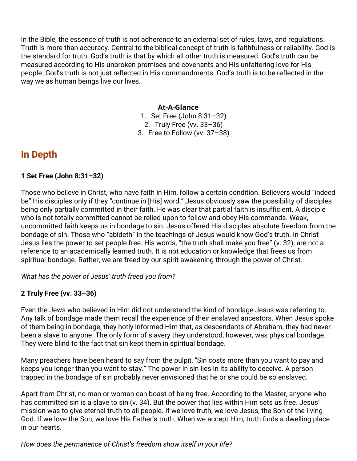In the Bible, the essence of truth is not adherence to an external set of rules, laws, and regulations. Truth is more than accuracy. Central to the biblical concept of truth is faithfulness or reliability. God is the standard for truth. God's truth is that by which all other truth is measured. God's truth can be measured according to His unbroken promises and covenants and His unfaltering love for His people. God's truth is not just reflected in His commandments. God's truth is to be reflected in the way we as human beings live our lives.

#### **At-A-Glance**

1. Set Free (John 8:31–32) 2. Truly Free (vv. 33–36) 3. Free to Follow (vv. 37–38)

### **In Depth**

#### **1 Set Free (John 8:31–32)**

Those who believe in Christ, who have faith in Him, follow a certain condition. Believers would "indeed be" His disciples only if they "continue in [His] word." Jesus obviously saw the possibility of disciples being only partially committed in their faith. He was clear that partial faith is insufficient. A disciple who is not totally committed cannot be relied upon to follow and obey His commands. Weak, uncommitted faith keeps us in bondage to sin. Jesus offered His disciples absolute freedom from the bondage of sin. Those who "abideth" in the teachings of Jesus would know God's truth. In Christ Jesus lies the power to set people free. His words, "the truth shall make you free" (v. 32), are not a reference to an academically learned truth. It is not education or knowledge that frees us from spiritual bondage. Rather, we are freed by our spirit awakening through the power of Christ.

*What has the power of Jesus' truth freed you from?*

#### **2 Truly Free (vv. 33–36)**

Even the Jews who believed in Him did not understand the kind of bondage Jesus was referring to. Any talk of bondage made them recall the experience of their enslaved ancestors. When Jesus spoke of them being in bondage, they hotly informed Him that, as descendants of Abraham, they had never been a slave to anyone. The only form of slavery they understood, however, was physical bondage. They were blind to the fact that sin kept them in spiritual bondage.

Many preachers have been heard to say from the pulpit, "Sin costs more than you want to pay and keeps you longer than you want to stay." The power in sin lies in its ability to deceive. A person trapped in the bondage of sin probably never envisioned that he or she could be so enslaved.

Apart from Christ, no man or woman can boast of being free. According to the Master, anyone who has committed sin is a slave to sin (v. 34). But the power that lies within Him sets us free. Jesus' mission was to give eternal truth to all people. If we love truth, we love Jesus, the Son of the living God. If we love the Son, we love His Father's truth. When we accept Him, truth finds a dwelling place in our hearts.

*How does the permanence of Christ's freedom show itself in your life?*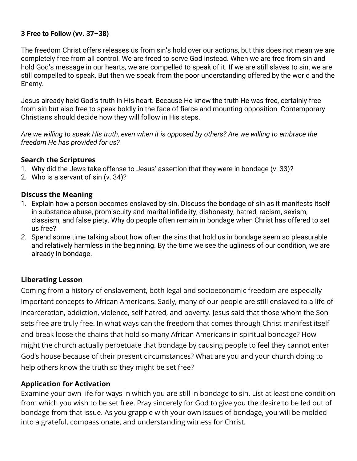#### **3 Free to Follow (vv. 37–38)**

The freedom Christ offers releases us from sin's hold over our actions, but this does not mean we are completely free from all control. We are freed to serve God instead. When we are free from sin and hold God's message in our hearts, we are compelled to speak of it. If we are still slaves to sin, we are still compelled to speak. But then we speak from the poor understanding offered by the world and the Enemy.

Jesus already held God's truth in His heart. Because He knew the truth He was free, certainly free from sin but also free to speak boldly in the face of fierce and mounting opposition. Contemporary Christians should decide how they will follow in His steps.

Are we willing to speak His truth, even when it is opposed by others? Are we willing to embrace the *freedom He has provided for us?*

#### **Search the Scriptures**

- 1. Why did the Jews take offense to Jesus' assertion that they were in bondage (v. 33)?
- 2. Who is a servant of sin (v. 34)?

#### **Discuss the Meaning**

- 1. Explain how a person becomes enslaved by sin. Discuss the bondage of sin as it manifests itself in substance abuse, promiscuity and marital infidelity, dishonesty, hatred, racism, sexism, classism, and false piety. Why do people often remain in bondage when Christ has offered to set us free?
- *2.* Spend some time talking about how often the sins that hold us in bondage seem so pleasurable and relatively harmless in the beginning. By the time we see the ugliness of our condition, we are already in bondage.

#### **Liberating Lesson**

Coming from a history of enslavement, both legal and socioeconomic freedom are especially important concepts to African Americans. Sadly, many of our people are still enslaved to a life of incarceration, addiction, violence, self hatred, and poverty. Jesus said that those whom the Son sets free are truly free. In what ways can the freedom that comes through Christ manifest itself and break loose the chains that hold so many African Americans in spiritual bondage? How might the church actually perpetuate that bondage by causing people to feel they cannot enter God's house because of their present circumstances? What are you and your church doing to help others know the truth so they might be set free?

#### **Application for Activation**

Examine your own life for ways in which you are still in bondage to sin. List at least one condition from which you wish to be set free. Pray sincerely for God to give you the desire to be led out of bondage from that issue. As you grapple with your own issues of bondage, you will be molded into a grateful, compassionate, and understanding witness for Christ.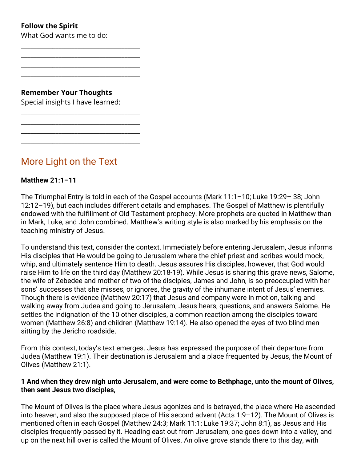#### **Follow the Spirit**

What God wants me to do:

\_\_\_\_\_\_\_\_\_\_\_\_\_\_\_\_\_\_\_\_\_\_\_\_\_\_\_\_\_\_\_\_\_\_\_\_\_\_ \_\_\_\_\_\_\_\_\_\_\_\_\_\_\_\_\_\_\_\_\_\_\_\_\_\_\_\_\_\_\_\_\_\_\_\_\_\_ \_\_\_\_\_\_\_\_\_\_\_\_\_\_\_\_\_\_\_\_\_\_\_\_\_\_\_\_\_\_\_\_\_\_\_\_\_\_ \_\_\_\_\_\_\_\_\_\_\_\_\_\_\_\_\_\_\_\_\_\_\_\_\_\_\_\_\_\_\_\_\_\_\_\_\_\_

#### **Remember Your Thoughts**

Special insights I have learned:

\_\_\_\_\_\_\_\_\_\_\_\_\_\_\_\_\_\_\_\_\_\_\_\_\_\_\_\_\_\_\_\_\_\_\_\_\_\_ \_\_\_\_\_\_\_\_\_\_\_\_\_\_\_\_\_\_\_\_\_\_\_\_\_\_\_\_\_\_\_\_\_\_\_\_\_\_ \_\_\_\_\_\_\_\_\_\_\_\_\_\_\_\_\_\_\_\_\_\_\_\_\_\_\_\_\_\_\_\_\_\_\_\_\_\_ \_\_\_\_\_\_\_\_\_\_\_\_\_\_\_\_\_\_\_\_\_\_\_\_\_\_\_\_\_\_\_\_\_\_\_\_\_\_

### More Light on the Text

#### **Matthew 21:1–11**

The Triumphal Entry is told in each of the Gospel accounts (Mark 11:1–10; Luke 19:29– 38; John 12:12–19), but each includes different details and emphases. The Gospel of Matthew is plentifully endowed with the fulfillment of Old Testament prophecy. More prophets are quoted in Matthew than in Mark, Luke, and John combined. Matthew's writing style is also marked by his emphasis on the teaching ministry of Jesus.

To understand this text, consider the context. Immediately before entering Jerusalem, Jesus informs His disciples that He would be going to Jerusalem where the chief priest and scribes would mock, whip, and ultimately sentence Him to death. Jesus assures His disciples, however, that God would raise Him to life on the third day (Matthew 20:18-19). While Jesus is sharing this grave news, Salome, the wife of Zebedee and mother of two of the disciples, James and John, is so preoccupied with her sons' successes that she misses, or ignores, the gravity of the inhumane intent of Jesus' enemies. Though there is evidence (Matthew 20:17) that Jesus and company were in motion, talking and walking away from Judea and going to Jerusalem, Jesus hears, questions, and answers Salome. He settles the indignation of the 10 other disciples, a common reaction among the disciples toward women (Matthew 26:8) and children (Matthew 19:14). He also opened the eyes of two blind men sitting by the Jericho roadside.

From this context, today's text emerges. Jesus has expressed the purpose of their departure from Judea (Matthew 19:1). Their destination is Jerusalem and a place frequented by Jesus, the Mount of Olives (Matthew 21:1).

#### **1 And when they drew nigh unto Jerusalem, and were come to Bethphage, unto the mount of Olives, then sent Jesus two disciples,**

The Mount of Olives is the place where Jesus agonizes and is betrayed, the place where He ascended into heaven, and also the supposed place of His second advent (Acts 1:9–12). The Mount of Olives is mentioned often in each Gospel (Matthew 24:3; Mark 11:1; Luke 19:37; John 8:1), as Jesus and His disciples frequently passed by it. Heading east out from Jerusalem, one goes down into a valley, and up on the next hill over is called the Mount of Olives. An olive grove stands there to this day, with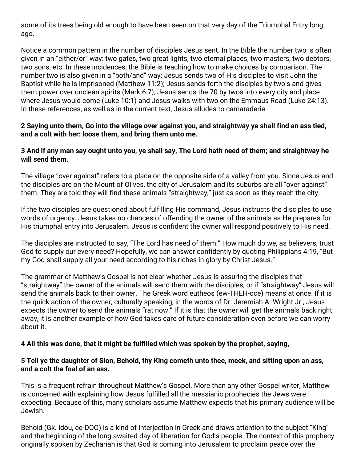some of its trees being old enough to have been seen on that very day of the Triumphal Entry long ago.

Notice a common pattern in the number of disciples Jesus sent. In the Bible the number two is often given in an "either/or" way: two gates, two great lights, two eternal places, two masters, two debtors, two sons, etc. In these incidences, the Bible is teaching how to make choices by comparison. The number two is also given in a "both/and" way: Jesus sends two of His disciples to visit John the Baptist while he is imprisoned (Matthew 11:2); Jesus sends forth the disciples by two's and gives them power over unclean spirits (Mark 6:7); Jesus sends the 70 by twos into every city and place where Jesus would come (Luke 10:1) and Jesus walks with two on the Emmaus Road (Luke 24:13). In these references, as well as in the current text, Jesus alludes to camaraderie.

#### 2 Saying unto them, Go into the village over against you, and straightway ye shall find an ass tied, **and a colt with her: loose them, and bring them unto me.**

#### 3 And if any man say ought unto you, ye shall say, The Lord hath need of them; and straightway he **will send them.**

The village "over against" refers to a place on the opposite side of a valley from you. Since Jesus and the disciples are on the Mount of Olives, the city of Jerusalem and its suburbs are all "over against" them. They are told they will find these animals "straightway," just as soon as they reach the city.

If the two disciples are questioned about fulfilling His command, Jesus instructs the disciples to use words of urgency. Jesus takes no chances of offending the owner of the animals as He prepares for His triumphal entry into Jerusalem. Jesus is confident the owner will respond positively to His need.

The disciples are instructed to say, "The Lord has need of them." How much do we, as believers, trust God to supply our every need? Hopefully, we can answer confidently by quoting Philippians 4:19, "But my God shall supply all your need according to his riches in glory by Christ Jesus."

The grammar of Matthew's Gospel is not clear whether Jesus is assuring the disciples that "straightway" the owner of the animals will send them with the disciples, or if "straightway" Jesus will send the animals back to their owner. The Greek word eutheos (ew-THEH-oce) means at once. If it is the quick action of the owner, culturally speaking, in the words of Dr. Jeremiah A. Wright Jr., Jesus expects the owner to send the animals "rat now." If it is that the owner will get the animals back right away, it is another example of how God takes care of future consideration even before we can worry about it.

#### **4 All this was done, that it might be fulfilled which was spoken by the prophet, saying,**

#### 5 Tell ye the daughter of Sion, Behold, thy King cometh unto thee, meek, and sitting upon an ass, **and a colt the foal of an ass.**

This is a frequent refrain throughout Matthew's Gospel. More than any other Gospel writer, Matthew is concerned with explaining how Jesus fulfilled all the messianic prophecies the Jews were expecting. Because of this, many scholars assume Matthew expects that his primary audience will be Jewish.

Behold (Gk. idou, ee-DOO) is a kind of interjection in Greek and draws attention to the subject "King" and the beginning of the long awaited day of liberation for God's people. The context of this prophecy originally spoken by Zechariah is that God is coming into Jerusalem to proclaim peace over the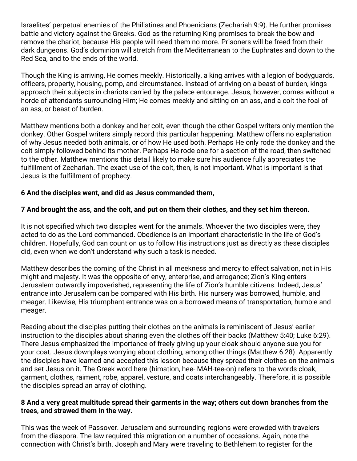Israelites' perpetual enemies of the Philistines and Phoenicians (Zechariah 9:9). He further promises battle and victory against the Greeks. God as the returning King promises to break the bow and remove the chariot, because His people will need them no more. Prisoners will be freed from their dark dungeons. God's dominion will stretch from the Mediterranean to the Euphrates and down to the Red Sea, and to the ends of the world.

Though the King is arriving, He comes meekly. Historically, a king arrives with a legion of bodyguards, officers, property, housing, pomp, and circumstance. Instead of arriving on a beast of burden, kings approach their subjects in chariots carried by the palace entourage. Jesus, however, comes without a horde of attendants surrounding Him; He comes meekly and sitting on an ass, and a colt the foal of an ass, or beast of burden.

Matthew mentions both a donkey and her colt, even though the other Gospel writers only mention the donkey. Other Gospel writers simply record this particular happening. Matthew offers no explanation of why Jesus needed both animals, or of how He used both. Perhaps He only rode the donkey and the colt simply followed behind its mother. Perhaps He rode one for a section of the road, then switched to the other. Matthew mentions this detail likely to make sure his audience fully appreciates the fulfillment of Zechariah. The exact use of the colt, then, is not important. What is important is that Jesus is the fulfillment of prophecy.

#### **6 And the disciples went, and did as Jesus commanded them,**

#### 7 And brought the ass, and the colt, and put on them their clothes, and they set him thereon.

It is not specified which two disciples went for the animals. Whoever the two disciples were, they acted to do as the Lord commanded. Obedience is an important characteristic in the life of God's children. Hopefully, God can count on us to follow His instructions just as directly as these disciples did, even when we don't understand why such a task is needed.

Matthew describes the coming of the Christ in all meekness and mercy to effect salvation, not in His might and majesty. It was the opposite of envy, enterprise, and arrogance; Zion's King enters Jerusalem outwardly impoverished, representing the life of Zion's humble citizens. Indeed, Jesus' entrance into Jerusalem can be compared with His birth. His nursery was borrowed, humble, and meager. Likewise, His triumphant entrance was on a borrowed means of transportation, humble and meager.

Reading about the disciples putting their clothes on the animals is reminiscent of Jesus' earlier instruction to the disciples about sharing even the clothes off their backs (Matthew 5:40; Luke 6:29). There Jesus emphasized the importance of freely giving up your cloak should anyone sue you for your coat. Jesus downplays worrying about clothing, among other things (Matthew 6:28). Apparently the disciples have learned and accepted this lesson because they spread their clothes on the animals and set Jesus on it. The Greek word here (himation, hee- MAH-tee-on) refers to the words cloak, garment, clothes, raiment, robe, apparel, vesture, and coats interchangeably. Therefore, it is possible the disciples spread an array of clothing.

#### **8 And a very great multitude spread their garments in the way; others cut down branches from the trees, and strawed them in the way.**

This was the week of Passover. Jerusalem and surrounding regions were crowded with travelers from the diaspora. The law required this migration on a number of occasions. Again, note the connection with Christ's birth. Joseph and Mary were traveling to Bethlehem to register for the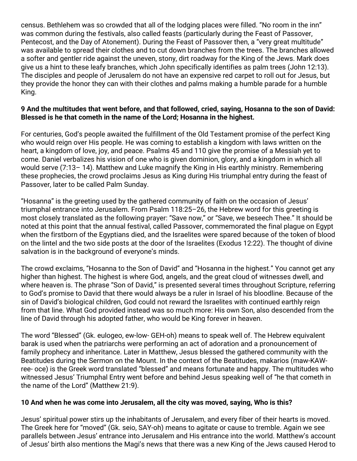census. Bethlehem was so crowded that all of the lodging places were filled. "No room in the inn" was common during the festivals, also called feasts (particularly during the Feast of Passover, Pentecost, and the Day of Atonement). During the Feast of Passover then, a "very great multitude" was available to spread their clothes and to cut down branches from the trees. The branches allowed a softer and gentler ride against the uneven, stony, dirt roadway for the King of the Jews. Mark does give us a hint to these leafy branches, which John specifically identifies as palm trees (John 12:13). The disciples and people of Jerusalem do not have an expensive red carpet to roll out for Jesus, but they provide the honor they can with their clothes and palms making a humble parade for a humble King.

#### 9 And the multitudes that went before, and that followed, cried, saying, Hosanna to the son of David: **Blessed is he that cometh in the name of the Lord; Hosanna in the highest.**

For centuries, God's people awaited the fulfillment of the Old Testament promise of the perfect King who would reign over His people. He was coming to establish a kingdom with laws written on the heart, a kingdom of love, joy, and peace. Psalms 45 and 110 give the promise of a Messiah yet to come. Daniel verbalizes his vision of one who is given dominion, glory, and a kingdom in which all would serve (7:13– 14). Matthew and Luke magnify the King in His earthly ministry. Remembering these prophecies, the crowd proclaims Jesus as King during His triumphal entry during the feast of Passover, later to be called Palm Sunday.

"Hosanna" is the greeting used by the gathered community of faith on the occasion of Jesus' triumphal entrance into Jerusalem. From Psalm 118:25–26, the Hebrew word for this greeting is most closely translated as the following prayer: "Save now," or "Save, we beseech Thee." It should be noted at this point that the annual festival, called Passover, commemorated the final plague on Egypt when the firstborn of the Egyptians died, and the Israelites were spared because of the token of blood on the lintel and the two side posts at the door of the Israelites (Exodus 12:22). The thought of divine salvation is in the background of everyone's minds.

The crowd exclaims, "Hosanna to the Son of David" and "Hosanna in the highest." You cannot get any higher than highest. The highest is where God, angels, and the great cloud of witnesses dwell, and where heaven is. The phrase "Son of David," is presented several times throughout Scripture, referring to God's promise to David that there would always be a ruler in Israel of his bloodline. Because of the sin of David's biological children, God could not reward the Israelites with continued earthly reign from that line. What God provided instead was so much more: His own Son, also descended from the line of David through his adopted father, who would be King forever in heaven.

The word "Blessed" (Gk. eulogeo, ew-low- GEH-oh) means to speak well of. The Hebrew equivalent barak is used when the patriarchs were performing an act of adoration and a pronouncement of family prophecy and inheritance. Later in Matthew, Jesus blessed the gathered community with the Beatitudes during the Sermon on the Mount. In the context of the Beatitudes, makarios (maw-KAWree- oce) is the Greek word translated "blessed" and means fortunate and happy. The multitudes who witnessed Jesus' Triumphal Entry went before and behind Jesus speaking well of "he that cometh in the name of the Lord" (Matthew 21:9).

#### **10 And when he was come into Jerusalem, all the city was moved, saying, Who is this?**

Jesus' spiritual power stirs up the inhabitants of Jerusalem, and every fiber of their hearts is moved. The Greek here for "moved" (Gk. seio, SAY-oh) means to agitate or cause to tremble. Again we see parallels between Jesus' entrance into Jerusalem and His entrance into the world. Matthew's account of Jesus' birth also mentions the Magi's news that there was a new King of the Jews caused Herod to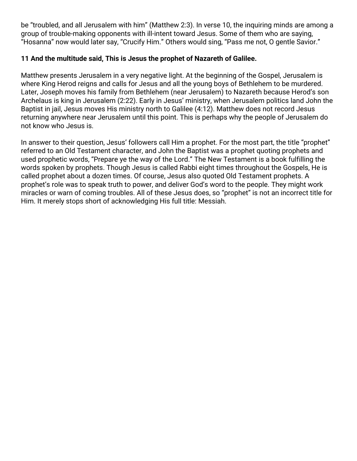be "troubled, and all Jerusalem with him" (Matthew 2:3). In verse 10, the inquiring minds are among a group of trouble-making opponents with ill-intent toward Jesus. Some of them who are saying, "Hosanna" now would later say, "Crucify Him." Others would sing, "Pass me not, O gentle Savior."

#### **11 And the multitude said, This is Jesus the prophet of Nazareth of Galilee.**

Matthew presents Jerusalem in a very negative light. At the beginning of the Gospel, Jerusalem is where King Herod reigns and calls for Jesus and all the young boys of Bethlehem to be murdered. Later, Joseph moves his family from Bethlehem (near Jerusalem) to Nazareth because Herod's son Archelaus is king in Jerusalem (2:22). Early in Jesus' ministry, when Jerusalem politics land John the Baptist in jail, Jesus moves His ministry north to Galilee (4:12). Matthew does not record Jesus returning anywhere near Jerusalem until this point. This is perhaps why the people of Jerusalem do not know who Jesus is.

In answer to their question, Jesus' followers call Him a prophet. For the most part, the title "prophet" referred to an Old Testament character, and John the Baptist was a prophet quoting prophets and used prophetic words, "Prepare ye the way of the Lord." The New Testament is a book fulfilling the words spoken by prophets. Though Jesus is called Rabbi eight times throughout the Gospels, He is called prophet about a dozen times. Of course, Jesus also quoted Old Testament prophets. A prophet's role was to speak truth to power, and deliver God's word to the people. They might work miracles or warn of coming troubles. All of these Jesus does, so "prophet" is not an incorrect title for Him. It merely stops short of acknowledging His full title: Messiah.